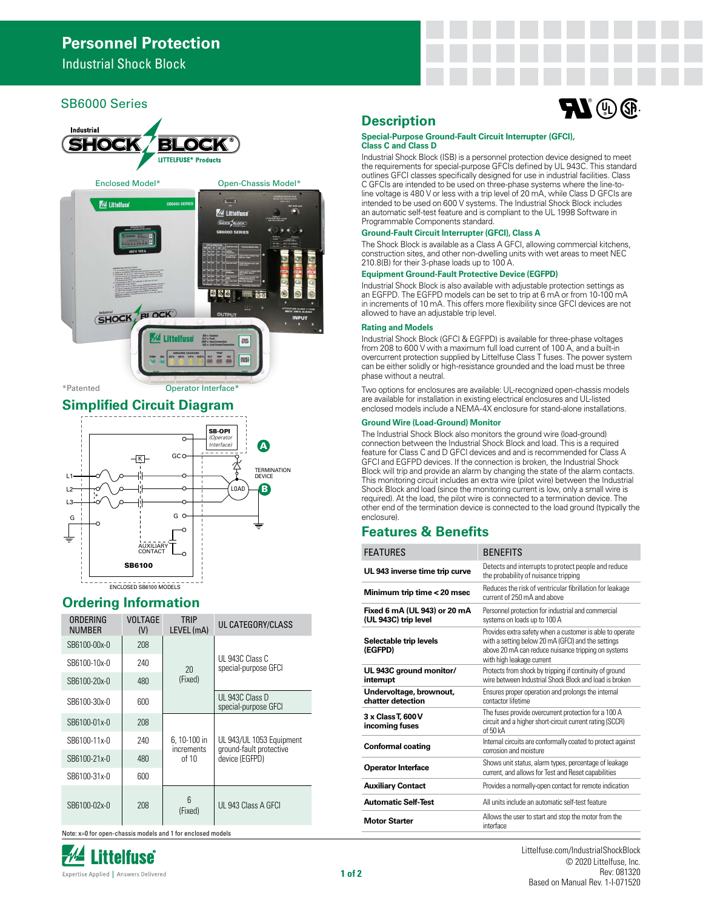Industrial Shock Block

### SB6000 Series



### **Simplified Circuit Diagram**



### **Ordering Information**

| ORDERING<br><b>NUMBER</b> | <b>VOLTAGE</b><br>(V) | <b>TRIP</b><br>LEVEL (mA)  | UL CATEGORY/CLASS                                                     |
|---------------------------|-----------------------|----------------------------|-----------------------------------------------------------------------|
| SB6100-00x-0              | 208                   | 20<br>(Fixed)              | UL 943C Class C<br>special-purpose GFCI                               |
| SB6100-10x-0              | 240                   |                            |                                                                       |
| SB6100-20x-0              | 480                   |                            |                                                                       |
| SB6100-30x-0              | 600                   |                            | UL 943C Class D<br>special-purpose GFCI                               |
| SB6100-01x-0              | 208                   |                            | UL 943/UL 1053 Equipment<br>ground-fault protective<br>device (EGFPD) |
| SB6100-11x-0              | 240                   | 6, 10-100 in<br>increments |                                                                       |
| SB6100-21x-0              | 480                   | of 10                      |                                                                       |
| SB6100-31x-0              | 600                   |                            |                                                                       |
| SB6100-02x-0              | 208                   | ĥ<br>(Fixed)               | UL 943 Class A GFCI                                                   |

Note: x=0 for open-chassis models and 1 for enclosed models



### **Description**

#### **Special-Purpose Ground-Fault Circuit Interrupter (GFCI), Class C and Class D**

Industrial Shock Block (ISB) is a personnel protection device designed to meet the requirements for special-purpose GFCIs defined by UL 943C. This standard outlines GFCI classes specifically designed for use in industrial facilities. Class C GFCIs are intended to be used on three-phase systems where the line-toline voltage is 480 V or less with a trip level of 20 mA, while Class D GFCIs are intended to be used on 600 V systems. The Industrial Shock Block includes an automatic self-test feature and is compliant to the UL 1998 Software in Programmable Components standard.

 $\boldsymbol{\mathcal{M}}\left( \mathbb{D}\right) \mathbb{G}$ 

#### **Ground-Fault Circuit Interrupter (GFCI), Class A**

The Shock Block is available as a Class A GFCI, allowing commercial kitchens, construction sites, and other non-dwelling units with wet areas to meet NEC 210.8(B) for their 3-phase loads up to 100 A.

#### **Equipment Ground-Fault Protective Device (EGFPD)**

Industrial Shock Block is also available with adjustable protection settings as an EGFPD. The EGFPD models can be set to trip at 6 mA or from 10-100 mA in increments of 10 mA. This offers more flexibility since GFCI devices are not allowed to have an adjustable trip level.

#### **Rating and Models**

Industrial Shock Block (GFCI & EGFPD) is available for three-phase voltages from 208 to 600 V with a maximum full load current of 100 A, and a built-in overcurrent protection supplied by Littelfuse Class T fuses. The power system can be either solidly or high-resistance grounded and the load must be three phase without a neutral.

Two options for enclosures are available: UL-recognized open-chassis models are available for installation in existing electrical enclosures and UL-listed enclosed models include a NEMA-4X enclosure for stand-alone installations.

#### **Ground Wire (Load-Ground) Monitor**

The Industrial Shock Block also monitors the ground wire (load-ground) connection between the Industrial Shock Block and load. This is a required feature for Class C and D GFCI devices and and is recommended for Class A GFCI and EGFPD devices. If the connection is broken, the Industrial Shock Block will trip and provide an alarm by changing the state of the alarm contacts. This monitoring circuit includes an extra wire (pilot wire) between the Industrial Shock Block and load (since the monitoring current is low, only a small wire is required). At the load, the pilot wire is connected to a termination device. The other end of the termination device is connected to the load ground (typically the enclosure).

### **Features & Benefits**

| <b>FEATURES</b>                                      | <b>BENFFITS</b>                                                                                                                                                                                    |  |
|------------------------------------------------------|----------------------------------------------------------------------------------------------------------------------------------------------------------------------------------------------------|--|
| UL 943 inverse time trip curve                       | Detects and interrupts to protect people and reduce<br>the probability of nuisance tripping                                                                                                        |  |
| Minimum trip time < 20 msec                          | Reduces the risk of ventricular fibrillation for leakage<br>current of 250 mA and above                                                                                                            |  |
| Fixed 6 mA (UL 943) or 20 mA<br>(UL 943C) trip level | Personnel protection for industrial and commercial<br>systems on loads up to 100 A                                                                                                                 |  |
| Selectable trip levels<br>(EGFPD)                    | Provides extra safety when a customer is able to operate<br>with a setting below 20 mA (GFCI) and the settings<br>above 20 mA can reduce nuisance tripping on systems<br>with high leakage current |  |
| UL 943C ground monitor/<br>interrupt                 | Protects from shock by tripping if continuity of ground<br>wire between Industrial Shock Block and load is broken                                                                                  |  |
| Undervoltage, brownout,<br>chatter detection         | Ensures proper operation and prolongs the internal<br>contactor lifetime                                                                                                                           |  |
| 3 x Class T, 600 V<br>incoming fuses                 | The fuses provide overcurrent protection for a 100 A<br>circuit and a higher short-circuit current rating (SCCR)<br>of 50 kA                                                                       |  |
| <b>Conformal coating</b>                             | Internal circuits are conformally coated to protect against<br>corrosion and moisture                                                                                                              |  |
| <b>Operator Interface</b>                            | Shows unit status, alarm types, percentage of leakage<br>current, and allows for Test and Reset capabilities                                                                                       |  |
| <b>Auxiliary Contact</b>                             | Provides a normally-open contact for remote indication                                                                                                                                             |  |
| <b>Automatic Self-Test</b>                           | All units include an automatic self-test feature                                                                                                                                                   |  |
| <b>Motor Starter</b>                                 | Allows the user to start and stop the motor from the<br>interface                                                                                                                                  |  |